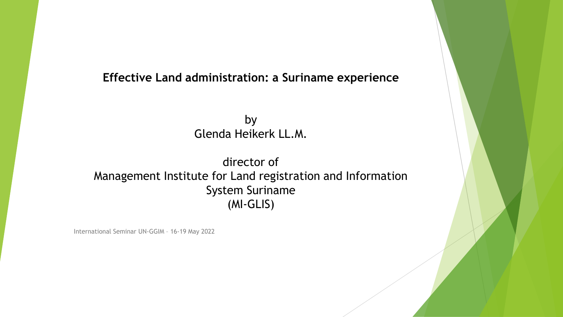#### **Effective Land administration: a Suriname experience**

by Glenda Heikerk LL.M.

#### director of Management Institute for Land registration and Information System Suriname (MI-GLIS)

International Seminar UN-GGIM – 16-19 May 2022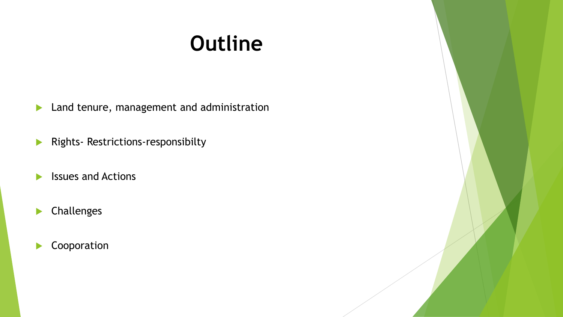# **Outline**

**Land tenure, management and administration** 

**Rights- Restrictions-responsibilty** 

- $\blacktriangleright$  Issues and Actions
- Challenges

Cooporation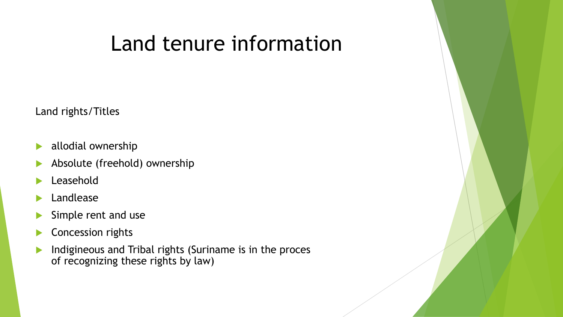## Land tenure information

Land rights/Titles

- allodial ownership
- Absolute (freehold) ownership
- Leasehold
- Landlease
- Simple rent and use
- Concession rights
- **Indigineous and Tribal rights (Suriname is in the proces** of recognizing these rights by law)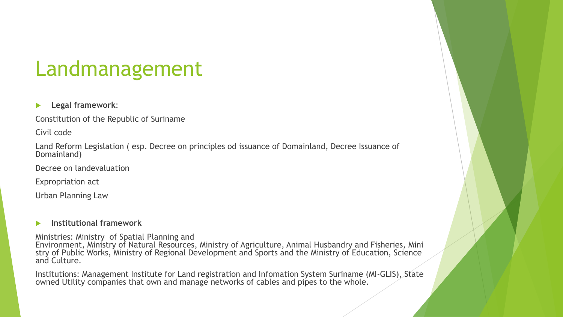## Landmanagement

#### **Legal framework**:

Constitution of the Republic of Suriname

Civil code

Land Reform Legislation ( esp. Decree on principles od issuance of Domainland, Decree Issuance of Domainland)

Decree on landevaluation

Expropriation act

Urban Planning Law

#### I**nstitutional framework**

Ministries: Ministry of Spatial Planning and Environment, Ministry of Natural Resources, Ministry of Agriculture, Animal Husbandry and Fisheries, Mini stry of Public Works, Ministry of Regional Development and Sports and the Ministry of Education, Science and Culture.

Institutions: Management Institute for Land registration and Infomation System Suriname (MI-GLIS), State owned Utility companies that own and manage networks of cables and pipes to the whole.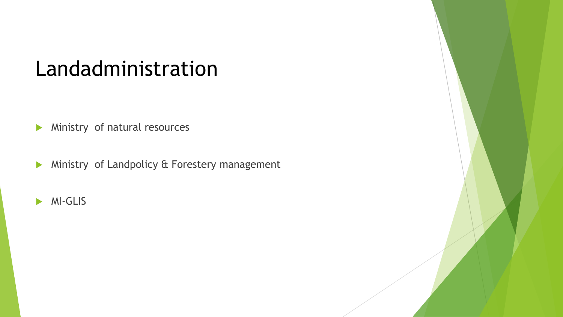### Landadministration

**Ministry of natural resources** 

**Ministry of Landpolicy & Forestery management** 

**MI-GLIS**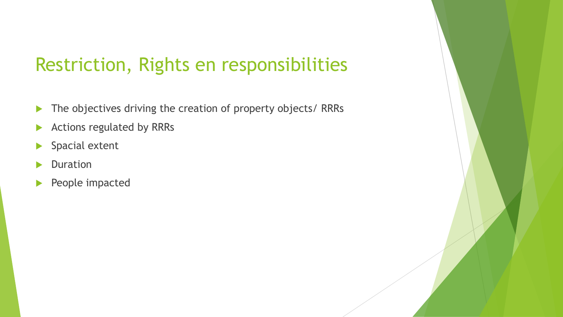### Restriction, Rights en responsibilities

- The objectives driving the creation of property objects/ RRRs
- Actions regulated by RRRs
- ▶ Spacial extent
- Duration
- People impacted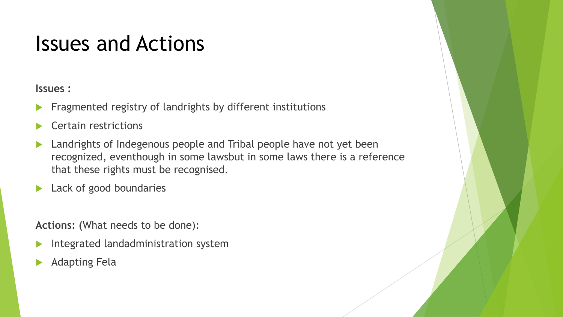### Issues and Actions

#### **Issues :**

- Fragmented registry of landrights by different institutions
- Certain restrictions
- Landrights of Indegenous people and Tribal people have not yet been recognized, eventhough in some lawsbut in some laws there is a reference that these rights must be recognised.
- **Lack of good boundaries**

**Actions: (**What needs to be done):

- Integrated landadministration system
- Adapting Fela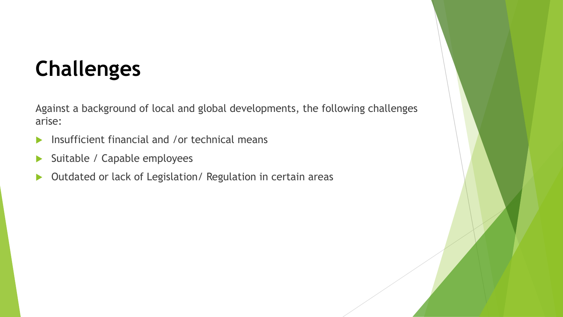# **Challenges**

Against a background of local and global developments, the following challenges arise:

- **Insufficient financial and /or technical means**
- Suitable / Capable employees
- ▶ Outdated or lack of Legislation/ Regulation in certain areas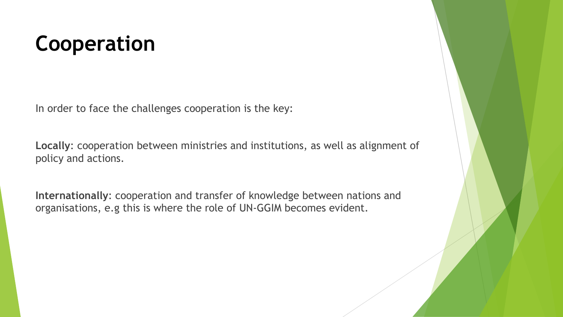# **Cooperation**

In order to face the challenges cooperation is the key:

**Locally**: cooperation between ministries and institutions, as well as alignment of policy and actions.

**Internationally**: cooperation and transfer of knowledge between nations and organisations, e.g this is where the role of UN-GGIM becomes evident.